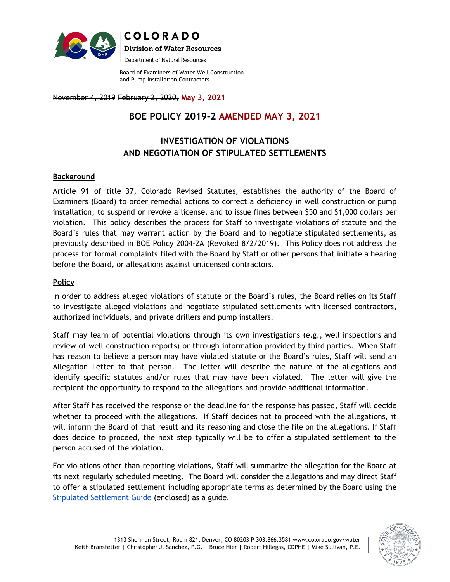

**COLORADO Division of Water Resources** Department of Natural Resources

Board of Examiners of Water Well Construction and Pump Installation Contractors

November 4, 2019 February 2, 2020, **May 3, 2021**

# **BOE POLICY 2019-2 AMENDED MAY 3, 2021**

## **INVESTIGATION OF VIOLATIONS AND NEGOTIATION OF STIPULATED SETTLEMENTS**

### **Background**

Article 91 of title 37, Colorado Revised Statutes, establishes the authority of the Board of Examiners (Board) to order remedial actions to correct a deficiency in well construction or pump installation, to suspend or revoke a license, and to issue fines between \$50 and \$1,000 dollars per violation. This policy describes the process for Staff to investigate violations of statute and the Board's rules that may warrant action by the Board and to negotiate stipulated settlements, as previously described in BOE Policy 2004-2A (Revoked 8/2/2019). This Policy does not address the process for formal complaints filed with the Board by Staff or other persons that initiate a hearing before the Board, or allegations against unlicensed contractors.

### **Policy**

In order to address alleged violations of statute or the Board's rules, the Board relies on its Staff to investigate alleged violations and negotiate stipulated settlements with licensed contractors, authorized individuals, and private drillers and pump installers.

Staff may learn of potential violations through its own investigations (e.g., well inspections and review of well construction reports) or through information provided by third parties. When Staff has reason to believe a person may have violated statute or the Board's rules, Staff will send an Allegation Letter to that person. The letter will describe the nature of the allegations and identify specific statutes and/or rules that may have been violated. The letter will give the recipient the opportunity to respond to the allegations and provide additional information.

After Staff has received the response or the deadline for the response has passed, Staff will decide whether to proceed with the allegations. If Staff decides not to proceed with the allegations, it will inform the Board of that result and its reasoning and close the file on the allegations. If Staff does decide to proceed, the next step typically will be to offer a stipulated settlement to the person accused of the violation.

For violations other than reporting violations, Staff will summarize the allegation for the Board at its next regularly scheduled meeting. The Board will consider the allegations and may direct Staff to offer a stipulated settlement including appropriate terms as determined by the Board using the [Stipulated Settlement Guide](https://docs.google.com/spreadsheets/d/1765Zo7Awn51zaOmu1Z7obkKxNTz94p9-luTQuyKE_7U/edit?usp=sharing) (enclosed) as a guide.

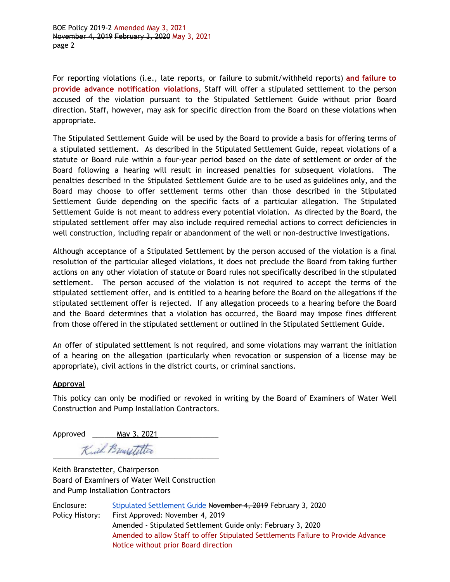BOE Policy 2019-2 Amended May 3, 2021 November 4, 2019 February 3, 2020 May 3, 2021 page 2

For reporting violations (i.e., late reports, or failure to submit/withheld reports) **and failure to provide advance notification violations**, Staff will offer a stipulated settlement to the person accused of the violation pursuant to the Stipulated Settlement Guide without prior Board direction. Staff, however, may ask for specific direction from the Board on these violations when appropriate.

The Stipulated Settlement Guide will be used by the Board to provide a basis for offering terms of a stipulated settlement. As described in the Stipulated Settlement Guide, repeat violations of a statute or Board rule within a four-year period based on the date of settlement or order of the Board following a hearing will result in increased penalties for subsequent violations. The penalties described in the Stipulated Settlement Guide are to be used as guidelines only, and the Board may choose to offer settlement terms other than those described in the Stipulated Settlement Guide depending on the specific facts of a particular allegation. The Stipulated Settlement Guide is not meant to address every potential violation. As directed by the Board, the stipulated settlement offer may also include required remedial actions to correct deficiencies in well construction, including repair or abandonment of the well or non-destructive investigations.

Although acceptance of a Stipulated Settlement by the person accused of the violation is a final resolution of the particular alleged violations, it does not preclude the Board from taking further actions on any other violation of statute or Board rules not specifically described in the stipulated settlement. The person accused of the violation is not required to accept the terms of the stipulated settlement offer, and is entitled to a hearing before the Board on the allegations if the stipulated settlement offer is rejected. If any allegation proceeds to a hearing before the Board and the Board determines that a violation has occurred, the Board may impose fines different from those offered in the stipulated settlement or outlined in the Stipulated Settlement Guide.

An offer of stipulated settlement is not required, and some violations may warrant the initiation of a hearing on the allegation (particularly when revocation or suspension of a license may be appropriate), civil actions in the district courts, or criminal sanctions.

#### **Approval**

This policy can only be modified or revoked in writing by the Board of Examiners of Water Well Construction and Pump Installation Contractors.

Approved \_\_\_\_\_\_\_\_ May 3, 2021

Kuil Brensetetter

Keith Branstetter, Chairperson Board of Examiners of Water Well Construction and Pump Installation Contractors

| Enclosure:      | Stipulated Settlement Guide November 4, 2019 February 3, 2020                     |
|-----------------|-----------------------------------------------------------------------------------|
| Policy History: | First Approved: November 4, 2019                                                  |
|                 | Amended - Stipulated Settlement Guide only: February 3, 2020                      |
|                 | Amended to allow Staff to offer Stipulated Settlements Failure to Provide Advance |
|                 | Notice without prior Board direction                                              |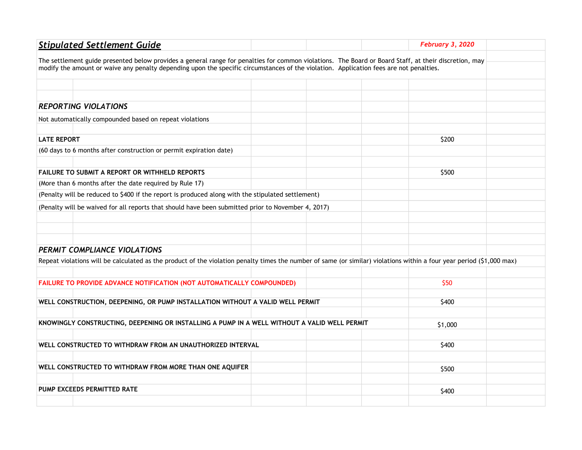| <b>Stipulated Settlement Guide</b>                                                                                                                                    |  | February 3, 2020 |  |  |
|-----------------------------------------------------------------------------------------------------------------------------------------------------------------------|--|------------------|--|--|
| The settlement guide presented below provides a general range for penalties for common violations. The Board or Board Staff, at their discretion, may                 |  |                  |  |  |
| modify the amount or waive any penalty depending upon the specific circumstances of the violation. Application fees are not penalties.                                |  |                  |  |  |
|                                                                                                                                                                       |  |                  |  |  |
|                                                                                                                                                                       |  |                  |  |  |
| <b>REPORTING VIOLATIONS</b>                                                                                                                                           |  |                  |  |  |
| Not automatically compounded based on repeat violations                                                                                                               |  |                  |  |  |
| <b>LATE REPORT</b>                                                                                                                                                    |  | \$200            |  |  |
| (60 days to 6 months after construction or permit expiration date)                                                                                                    |  |                  |  |  |
|                                                                                                                                                                       |  |                  |  |  |
| FAILURE TO SUBMIT A REPORT OR WITHHELD REPORTS                                                                                                                        |  | \$500            |  |  |
| (More than 6 months after the date required by Rule 17)                                                                                                               |  |                  |  |  |
| (Penalty will be reduced to \$400 if the report is produced along with the stipulated settlement)                                                                     |  |                  |  |  |
| (Penalty will be waived for all reports that should have been submitted prior to November 4, 2017)                                                                    |  |                  |  |  |
|                                                                                                                                                                       |  |                  |  |  |
|                                                                                                                                                                       |  |                  |  |  |
|                                                                                                                                                                       |  |                  |  |  |
| PERMIT COMPLIANCE VIOLATIONS                                                                                                                                          |  |                  |  |  |
| Repeat violations will be calculated as the product of the violation penalty times the number of same (or similar) violations within a four year period (\$1,000 max) |  |                  |  |  |
|                                                                                                                                                                       |  |                  |  |  |
| FAILURE TO PROVIDE ADVANCE NOTIFICATION (NOT AUTOMATICALLY COMPOUNDED)                                                                                                |  | \$50             |  |  |
| WELL CONSTRUCTION, DEEPENING, OR PUMP INSTALLATION WITHOUT A VALID WELL PERMIT                                                                                        |  | \$400            |  |  |
|                                                                                                                                                                       |  |                  |  |  |
| KNOWINGLY CONSTRUCTING, DEEPENING OR INSTALLING A PUMP IN A WELL WITHOUT A VALID WELL PERMIT                                                                          |  | \$1,000          |  |  |
|                                                                                                                                                                       |  |                  |  |  |
| WELL CONSTRUCTED TO WITHDRAW FROM AN UNAUTHORIZED INTERVAL                                                                                                            |  | \$400            |  |  |
|                                                                                                                                                                       |  |                  |  |  |
| WELL CONSTRUCTED TO WITHDRAW FROM MORE THAN ONE AQUIFER                                                                                                               |  | \$500            |  |  |
|                                                                                                                                                                       |  |                  |  |  |
| PUMP EXCEEDS PERMITTED RATE                                                                                                                                           |  | \$400            |  |  |
|                                                                                                                                                                       |  |                  |  |  |